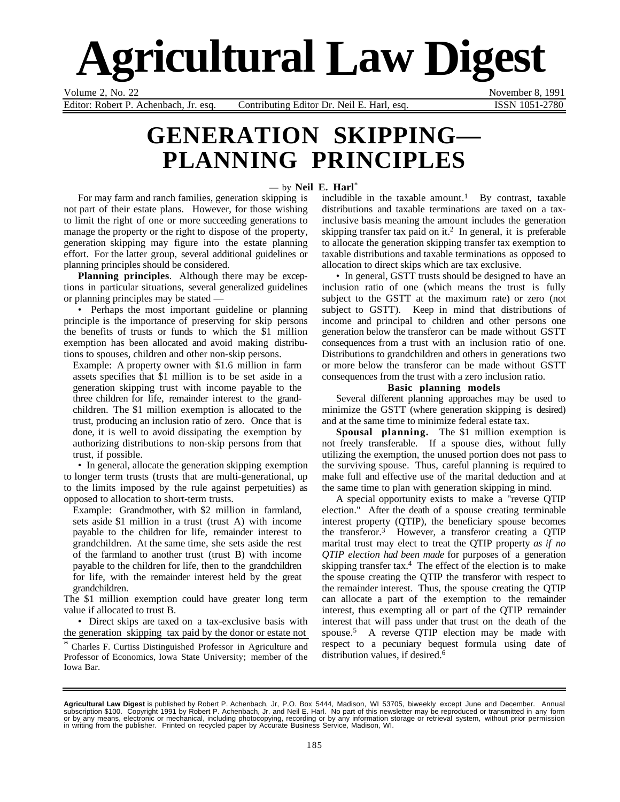# **Agricultural Law Digest**

Volume 2, No. 22 November 8, 1991

Editor: Robert P. Achenbach, Jr. esq. Contributing Editor Dr. Neil E. Harl, esq. ISSN 1051-2780

# **GENERATION SKIPPING— PLANNING PRINCIPLES**

#### — by **Neil E. Harl**\*

For may farm and ranch families, generation skipping is not part of their estate plans. However, for those wishing to limit the right of one or more succeeding generations to manage the property or the right to dispose of the property, generation skipping may figure into the estate planning effort. For the latter group, several additional guidelines or planning principles should be considered.

**Planning principles**. Although there may be exceptions in particular situations, several generalized guidelines or planning principles may be stated —

• Perhaps the most important guideline or planning principle is the importance of preserving for skip persons the benefits of trusts or funds to which the \$1 million exemption has been allocated and avoid making distributions to spouses, children and other non-skip persons.

Example: A property owner with \$1.6 million in farm assets specifies that \$1 million is to be set aside in a generation skipping trust with income payable to the three children for life, remainder interest to the grandchildren. The \$1 million exemption is allocated to the trust, producing an inclusion ratio of zero. Once that is done, it is well to avoid dissipating the exemption by authorizing distributions to non-skip persons from that trust, if possible.

• In general, allocate the generation skipping exemption to longer term trusts (trusts that are multi-generational, up to the limits imposed by the rule against perpetuities) as opposed to allocation to short-term trusts.

Example: Grandmother, with \$2 million in farmland, sets aside \$1 million in a trust (trust A) with income payable to the children for life, remainder interest to grandchildren. At the same time, she sets aside the rest of the farmland to another trust (trust B) with income payable to the children for life, then to the grandchildren for life, with the remainder interest held by the great grandchildren.

The \$1 million exemption could have greater long term value if allocated to trust B.

• Direct skips are taxed on a tax-exclusive basis with the generation skipping tax paid by the donor or estate not

\* Charles F. Curtiss Distinguished Professor in Agriculture and Professor of Economics, Iowa State University; member of the Iowa Bar.

includible in the taxable amount.<sup>1</sup> By contrast, taxable distributions and taxable terminations are taxed on a taxinclusive basis meaning the amount includes the generation skipping transfer tax paid on it.<sup>2</sup> In general, it is preferable to allocate the generation skipping transfer tax exemption to taxable distributions and taxable terminations as opposed to allocation to direct skips which are tax exclusive.

• In general, GSTT trusts should be designed to have an inclusion ratio of one (which means the trust is fully subject to the GSTT at the maximum rate) or zero (not subject to GSTT). Keep in mind that distributions of income and principal to children and other persons one generation below the transferor can be made without GSTT consequences from a trust with an inclusion ratio of one. Distributions to grandchildren and others in generations two or more below the transferor can be made without GSTT consequences from the trust with a zero inclusion ratio.

#### **Basic planning models**

Several different planning approaches may be used to minimize the GSTT (where generation skipping is desired) and at the same time to minimize federal estate tax.

**Spousal planning.** The \$1 million exemption is not freely transferable. If a spouse dies, without fully utilizing the exemption, the unused portion does not pass to the surviving spouse. Thus, careful planning is required to make full and effective use of the marital deduction and at the same time to plan with generation skipping in mind.

A special opportunity exists to make a "reverse QTIP election." After the death of a spouse creating terminable interest property (QTIP), the beneficiary spouse becomes the transferor.3 However, a transferor creating a QTIP marital trust may elect to treat the QTIP property *as if no QTIP election had been made* for purposes of a generation skipping transfer tax. $4$  The effect of the election is to make the spouse creating the QTIP the transferor with respect to the remainder interest. Thus, the spouse creating the QTIP can allocate a part of the exemption to the remainder interest, thus exempting all or part of the QTIP remainder interest that will pass under that trust on the death of the spouse.5 A reverse QTIP election may be made with respect to a pecuniary bequest formula using date of distribution values, if desired.<sup>6</sup>

Agricultural Law Digest is published by Robert P. Achenbach, Jr, P.O. Box 5444, Madison, WI 53705, biweekly except June and December. Annual<br>subscription \$100. Copyright 1991 by Robert P. Achenbach, Jr. and Neil E. Harl. N or by any means, electronic or mechanical, including photocopying, recording or by any information storage or retrieval system, without prior permission in writing from the publisher. Printed on recycled paper by Accurate Business Service, Madison, WI.